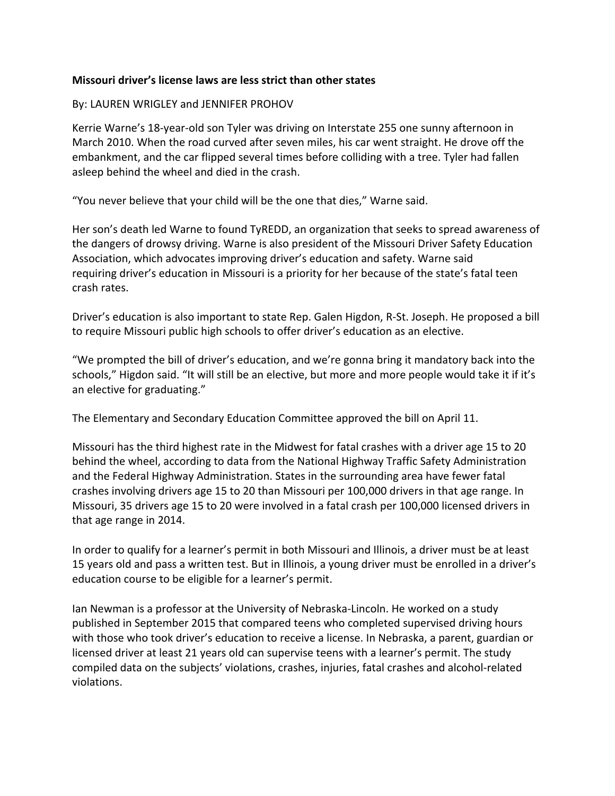## **Missouri driver's license laws are less strict than other states**

## By: LAUREN WRIGLEY and JENNIFER PROHOV

Kerrie Warne's 18-year-old son Tyler was driving on Interstate 255 one sunny afternoon in March 2010. When the road curved after seven miles, his car went straight. He drove off the embankment, and the car flipped several times before colliding with a tree. Tyler had fallen asleep behind the wheel and died in the crash.

"You never believe that your child will be the one that dies," Warne said.

Her son's death led Warne to found TyREDD, an organization that seeks to spread awareness of the dangers of drowsy driving. Warne is also president of the Missouri Driver Safety Education Association, which advocates improving driver's education and safety. Warne said requiring driver's education in Missouri is a priority for her because of the state's fatal teen crash rates.

Driver's education is also important to state Rep. Galen Higdon, R-St. Joseph. He proposed a bill to require Missouri public high schools to offer driver's education as an elective.

"We prompted the bill of driver's education, and we're gonna bring it mandatory back into the schools," Higdon said. "It will still be an elective, but more and more people would take it if it's an elective for graduating."

The Elementary and Secondary Education Committee approved the bill on April 11.

Missouri has the third highest rate in the Midwest for fatal crashes with a driver age 15 to 20 behind the wheel, according to data from the National Highway Traffic Safety Administration and the Federal Highway Administration. States in the surrounding area have fewer fatal crashes involving drivers age 15 to 20 than Missouri per 100,000 drivers in that age range. In Missouri, 35 drivers age 15 to 20 were involved in a fatal crash per 100,000 licensed drivers in that age range in 2014.

In order to qualify for a learner's permit in both Missouri and Illinois, a driver must be at least 15 years old and pass a written test. But in Illinois, a young driver must be enrolled in a driver's education course to be eligible for a learner's permit.

Ian Newman is a professor at the University of Nebraska-Lincoln. He worked on a study published in September 2015 that compared teens who completed supervised driving hours with those who took driver's education to receive a license. In Nebraska, a parent, guardian or licensed driver at least 21 years old can supervise teens with a learner's permit. The study compiled data on the subjects' violations, crashes, injuries, fatal crashes and alcohol-related violations.